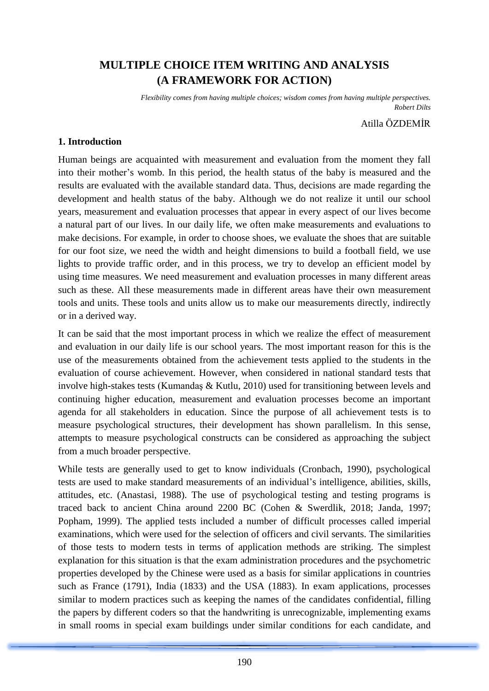# **MULTIPLE CHOICE ITEM WRITING AND ANALYSIS (A FRAMEWORK FOR ACTION)**

*Flexibility comes from having multiple choices; wisdom comes from having multiple perspectives. Robert Dilts*

Atilla ÖZDEMİR

### **1. Introduction**

Human beings are acquainted with measurement and evaluation from the moment they fall into their mother's womb. In this period, the health status of the baby is measured and the results are evaluated with the available standard data. Thus, decisions are made regarding the development and health status of the baby. Although we do not realize it until our school years, measurement and evaluation processes that appear in every aspect of our lives become a natural part of our lives. In our daily life, we often make measurements and evaluations to make decisions. For example, in order to choose shoes, we evaluate the shoes that are suitable for our foot size, we need the width and height dimensions to build a football field, we use lights to provide traffic order, and in this process, we try to develop an efficient model by using time measures. We need measurement and evaluation processes in many different areas such as these. All these measurements made in different areas have their own measurement tools and units. These tools and units allow us to make our measurements directly, indirectly or in a derived way.

It can be said that the most important process in which we realize the effect of measurement and evaluation in our daily life is our school years. The most important reason for this is the use of the measurements obtained from the achievement tests applied to the students in the evaluation of course achievement. However, when considered in national standard tests that involve high-stakes tests (Kumandaş & Kutlu, 2010) used for transitioning between levels and continuing higher education, measurement and evaluation processes become an important agenda for all stakeholders in education. Since the purpose of all achievement tests is to measure psychological structures, their development has shown parallelism. In this sense, attempts to measure psychological constructs can be considered as approaching the subject from a much broader perspective.

While tests are generally used to get to know individuals (Cronbach, 1990), psychological tests are used to make standard measurements of an individual's intelligence, abilities, skills, attitudes, etc. (Anastasi, 1988). The use of psychological testing and testing programs is traced back to ancient China around 2200 BC (Cohen & Swerdlik, 2018; Janda, 1997; Popham, 1999). The applied tests included a number of difficult processes called imperial examinations, which were used for the selection of officers and civil servants. The similarities of those tests to modern tests in terms of application methods are striking. The simplest explanation for this situation is that the exam administration procedures and the psychometric properties developed by the Chinese were used as a basis for similar applications in countries such as France (1791), India (1833) and the USA (1883). In exam applications, processes similar to modern practices such as keeping the names of the candidates confidential, filling the papers by different coders so that the handwriting is unrecognizable, implementing exams in small rooms in special exam buildings under similar conditions for each candidate, and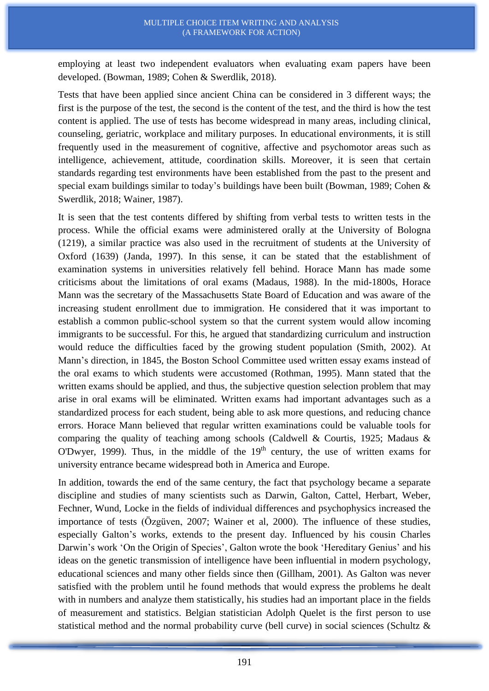employing at least two independent evaluators when evaluating exam papers have been developed. (Bowman, 1989; Cohen & Swerdlik, 2018).

Tests that have been applied since ancient China can be considered in 3 different ways; the first is the purpose of the test, the second is the content of the test, and the third is how the test content is applied. The use of tests has become widespread in many areas, including clinical, counseling, geriatric, workplace and military purposes. In educational environments, it is still frequently used in the measurement of cognitive, affective and psychomotor areas such as intelligence, achievement, attitude, coordination skills. Moreover, it is seen that certain standards regarding test environments have been established from the past to the present and special exam buildings similar to today's buildings have been built (Bowman, 1989; Cohen & Swerdlik, 2018; Wainer, 1987).

It is seen that the test contents differed by shifting from verbal tests to written tests in the process. While the official exams were administered orally at the University of Bologna (1219), a similar practice was also used in the recruitment of students at the University of Oxford (1639) (Janda, 1997). In this sense, it can be stated that the establishment of examination systems in universities relatively fell behind. Horace Mann has made some criticisms about the limitations of oral exams (Madaus, 1988). In the mid-1800s, Horace Mann was the secretary of the Massachusetts State Board of Education and was aware of the increasing student enrollment due to immigration. He considered that it was important to establish a common public-school system so that the current system would allow incoming immigrants to be successful. For this, he argued that standardizing curriculum and instruction would reduce the difficulties faced by the growing student population (Smith, 2002). At Mann's direction, in 1845, the Boston School Committee used written essay exams instead of the oral exams to which students were accustomed (Rothman, 1995). Mann stated that the written exams should be applied, and thus, the subjective question selection problem that may arise in oral exams will be eliminated. Written exams had important advantages such as a standardized process for each student, being able to ask more questions, and reducing chance errors. Horace Mann believed that regular written examinations could be valuable tools for comparing the quality of teaching among schools (Caldwell & Courtis, 1925; Madaus & O'Dwyer, 1999). Thus, in the middle of the  $19<sup>th</sup>$  century, the use of written exams for university entrance became widespread both in America and Europe.

In addition, towards the end of the same century, the fact that psychology became a separate discipline and studies of many scientists such as Darwin, Galton, Cattel, Herbart, Weber, Fechner, Wund, Locke in the fields of individual differences and psychophysics increased the importance of tests (Özgüven, 2007; Wainer et al, 2000). The influence of these studies, especially Galton's works, extends to the present day. Influenced by his cousin Charles Darwin's work 'On the Origin of Species', Galton wrote the book 'Hereditary Genius' and his ideas on the genetic transmission of intelligence have been influential in modern psychology, educational sciences and many other fields since then (Gillham, 2001). As Galton was never satisfied with the problem until he found methods that would express the problems he dealt with in numbers and analyze them statistically, his studies had an important place in the fields of measurement and statistics. Belgian statistician Adolph Quelet is the first person to use statistical method and the normal probability curve (bell curve) in social sciences (Schultz &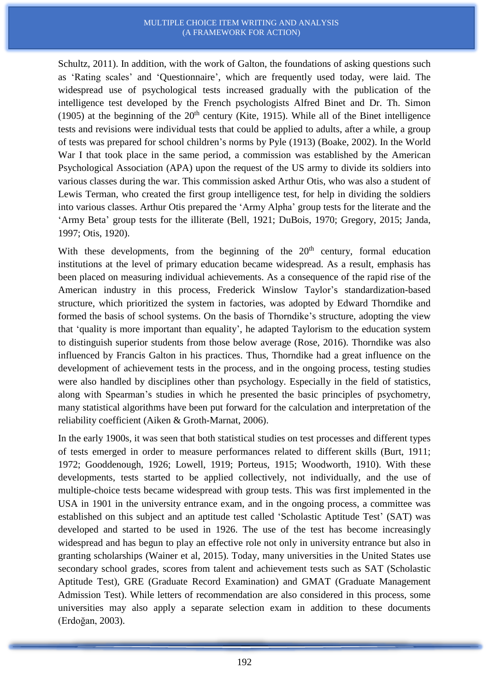#### MULTIPLE CHOICE ITEM WRITING AND ANALYSIS (A FRAMEWORK FOR ACTION)

Schultz, 2011). In addition, with the work of Galton, the foundations of asking questions such as 'Rating scales' and 'Questionnaire', which are frequently used today, were laid. The widespread use of psychological tests increased gradually with the publication of the intelligence test developed by the French psychologists Alfred Binet and Dr. Th. Simon (1905) at the beginning of the  $20<sup>th</sup>$  century (Kite, 1915). While all of the Binet intelligence tests and revisions were individual tests that could be applied to adults, after a while, a group of tests was prepared for school children's norms by Pyle (1913) (Boake, 2002). In the World War I that took place in the same period, a commission was established by the American Psychological Association (APA) upon the request of the US army to divide its soldiers into various classes during the war. This commission asked Arthur Otis, who was also a student of Lewis Terman, who created the first group intelligence test, for help in dividing the soldiers into various classes. Arthur Otis prepared the 'Army Alpha' group tests for the literate and the 'Army Beta' group tests for the illiterate (Bell, 1921; DuBois, 1970; Gregory, 2015; Janda, 1997; Otis, 1920).

With these developments, from the beginning of the  $20<sup>th</sup>$  century, formal education institutions at the level of primary education became widespread. As a result, emphasis has been placed on measuring individual achievements. As a consequence of the rapid rise of the American industry in this process, Frederick Winslow Taylor's standardization-based structure, which prioritized the system in factories, was adopted by Edward Thorndike and formed the basis of school systems. On the basis of Thorndike's structure, adopting the view that 'quality is more important than equality', he adapted Taylorism to the education system to distinguish superior students from those below average (Rose, 2016). Thorndike was also influenced by Francis Galton in his practices. Thus, Thorndike had a great influence on the development of achievement tests in the process, and in the ongoing process, testing studies were also handled by disciplines other than psychology. Especially in the field of statistics, along with Spearman's studies in which he presented the basic principles of psychometry, many statistical algorithms have been put forward for the calculation and interpretation of the reliability coefficient (Aiken & Groth-Marnat, 2006).

In the early 1900s, it was seen that both statistical studies on test processes and different types of tests emerged in order to measure performances related to different skills (Burt, 1911; 1972; Gooddenough, 1926; Lowell, 1919; Porteus, 1915; Woodworth, 1910). With these developments, tests started to be applied collectively, not individually, and the use of multiple-choice tests became widespread with group tests. This was first implemented in the USA in 1901 in the university entrance exam, and in the ongoing process, a committee was established on this subject and an aptitude test called 'Scholastic Aptitude Test' (SAT) was developed and started to be used in 1926. The use of the test has become increasingly widespread and has begun to play an effective role not only in university entrance but also in granting scholarships (Wainer et al, 2015). Today, many universities in the United States use secondary school grades, scores from talent and achievement tests such as SAT (Scholastic Aptitude Test), GRE (Graduate Record Examination) and GMAT (Graduate Management Admission Test). While letters of recommendation are also considered in this process, some universities may also apply a separate selection exam in addition to these documents (Erdoğan, 2003).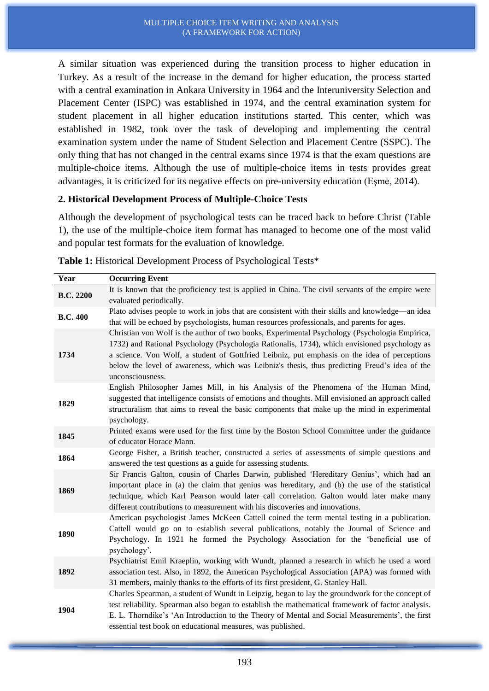A similar situation was experienced during the transition process to higher education in Turkey. As a result of the increase in the demand for higher education, the process started with a central examination in Ankara University in 1964 and the Interuniversity Selection and Placement Center (ISPC) was established in 1974, and the central examination system for student placement in all higher education institutions started. This center, which was established in 1982, took over the task of developing and implementing the central examination system under the name of Student Selection and Placement Centre (SSPC). The only thing that has not changed in the central exams since 1974 is that the exam questions are multiple-choice items. Although the use of multiple-choice items in tests provides great advantages, it is criticized for its negative effects on pre-university education (Eşme, 2014).

### **2. Historical Development Process of Multiple-Choice Tests**

Although the development of psychological tests can be traced back to before Christ (Table 1), the use of the multiple-choice item format has managed to become one of the most valid and popular test formats for the evaluation of knowledge.

| Year             | <b>Occurring Event</b>                                                                                                                                                                                                                                                                                                                                                                                             |  |  |
|------------------|--------------------------------------------------------------------------------------------------------------------------------------------------------------------------------------------------------------------------------------------------------------------------------------------------------------------------------------------------------------------------------------------------------------------|--|--|
| <b>B.C. 2200</b> | It is known that the proficiency test is applied in China. The civil servants of the empire were<br>evaluated periodically.                                                                                                                                                                                                                                                                                        |  |  |
| <b>B.C. 400</b>  | Plato advises people to work in jobs that are consistent with their skills and knowledge—an idea<br>that will be echoed by psychologists, human resources professionals, and parents for ages.                                                                                                                                                                                                                     |  |  |
| 1734             | Christian von Wolf is the author of two books, Experimental Psychology (Psychologia Empirica,<br>1732) and Rational Psychology (Psychologia Rationalis, 1734), which envisioned psychology as<br>a science. Von Wolf, a student of Gottfried Leibniz, put emphasis on the idea of perceptions<br>below the level of awareness, which was Leibniz's thesis, thus predicting Freud's idea of the<br>unconsciousness. |  |  |
| 1829             | English Philosopher James Mill, in his Analysis of the Phenomena of the Human Mind,<br>suggested that intelligence consists of emotions and thoughts. Mill envisioned an approach called<br>structuralism that aims to reveal the basic components that make up the mind in experimental<br>psychology.                                                                                                            |  |  |
| 1845             | Printed exams were used for the first time by the Boston School Committee under the guidance<br>of educator Horace Mann.                                                                                                                                                                                                                                                                                           |  |  |
| 1864             | George Fisher, a British teacher, constructed a series of assessments of simple questions and<br>answered the test questions as a guide for assessing students.                                                                                                                                                                                                                                                    |  |  |
| 1869             | Sir Francis Galton, cousin of Charles Darwin, published 'Hereditary Genius', which had an<br>important place in (a) the claim that genius was hereditary, and (b) the use of the statistical<br>technique, which Karl Pearson would later call correlation. Galton would later make many<br>different contributions to measurement with his discoveries and innovations.                                           |  |  |
| 1890             | American psychologist James McKeen Cattell coined the term mental testing in a publication.<br>Cattell would go on to establish several publications, notably the Journal of Science and<br>Psychology. In 1921 he formed the Psychology Association for the 'beneficial use of<br>psychology'.                                                                                                                    |  |  |
| 1892             | Psychiatrist Emil Kraeplin, working with Wundt, planned a research in which he used a word<br>association test. Also, in 1892, the American Psychological Association (APA) was formed with<br>31 members, mainly thanks to the efforts of its first president, G. Stanley Hall.                                                                                                                                   |  |  |
| 1904             | Charles Spearman, a student of Wundt in Leipzig, began to lay the groundwork for the concept of<br>test reliability. Spearman also began to establish the mathematical framework of factor analysis.<br>E. L. Thorndike's 'An Introduction to the Theory of Mental and Social Measurements', the first<br>essential test book on educational measures, was published.                                              |  |  |

**Table 1:** Historical Development Process of Psychological Tests\*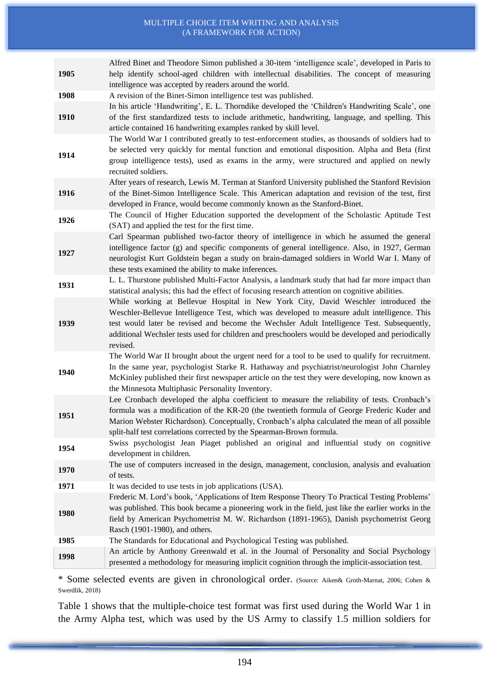#### MULTIPLE CHOICE ITEM WRITING AND ANALYSIS (A FRAMEWORK FOR ACTION)

| 1905 | Alfred Binet and Theodore Simon published a 30-item 'intelligence scale', developed in Paris to<br>help identify school-aged children with intellectual disabilities. The concept of measuring<br>intelligence was accepted by readers around the world.                                                                                                                                                                                                |
|------|---------------------------------------------------------------------------------------------------------------------------------------------------------------------------------------------------------------------------------------------------------------------------------------------------------------------------------------------------------------------------------------------------------------------------------------------------------|
| 1908 | A revision of the Binet-Simon intelligence test was published.                                                                                                                                                                                                                                                                                                                                                                                          |
| 1910 | In his article 'Handwriting', E. L. Thorndike developed the 'Children's Handwriting Scale', one<br>of the first standardized tests to include arithmetic, handwriting, language, and spelling. This<br>article contained 16 handwriting examples ranked by skill level.                                                                                                                                                                                 |
| 1914 | The World War I contributed greatly to test-enforcement studies, as thousands of soldiers had to<br>be selected very quickly for mental function and emotional disposition. Alpha and Beta (first<br>group intelligence tests), used as exams in the army, were structured and applied on newly<br>recruited soldiers.                                                                                                                                  |
| 1916 | After years of research, Lewis M. Terman at Stanford University published the Stanford Revision<br>of the Binet-Simon Intelligence Scale. This American adaptation and revision of the test, first<br>developed in France, would become commonly known as the Stanford-Binet.                                                                                                                                                                           |
| 1926 | The Council of Higher Education supported the development of the Scholastic Aptitude Test<br>(SAT) and applied the test for the first time.                                                                                                                                                                                                                                                                                                             |
| 1927 | Carl Spearman published two-factor theory of intelligence in which he assumed the general<br>intelligence factor (g) and specific components of general intelligence. Also, in 1927, German<br>neurologist Kurt Goldstein began a study on brain-damaged soldiers in World War I. Many of<br>these tests examined the ability to make inferences.                                                                                                       |
| 1931 | L. L. Thurstone published Multi-Factor Analysis, a landmark study that had far more impact than<br>statistical analysis; this had the effect of focusing research attention on cognitive abilities.                                                                                                                                                                                                                                                     |
| 1939 | While working at Bellevue Hospital in New York City, David Weschler introduced the<br>Weschler-Bellevue Intelligence Test, which was developed to measure adult intelligence. This<br>test would later be revised and become the Wechsler Adult Intelligence Test. Subsequently,<br>additional Wechsler tests used for children and preschoolers would be developed and periodically<br>revised.                                                        |
| 1940 | The World War II brought about the urgent need for a tool to be used to qualify for recruitment.<br>In the same year, psychologist Starke R. Hathaway and psychiatrist/neurologist John Charnley<br>McKinley published their first newspaper article on the test they were developing, now known as<br>the Minnesota Multiphasic Personality Inventory.<br>Lee Cronbach developed the alpha coefficient to measure the reliability of tests. Cronbach's |
| 1951 | formula was a modification of the KR-20 (the twentieth formula of George Frederic Kuder and<br>Marion Webster Richardson). Conceptually, Cronbach's alpha calculated the mean of all possible<br>split-half test correlations corrected by the Spearman-Brown formula.                                                                                                                                                                                  |
| 1954 | Swiss psychologist Jean Piaget published an original and influential study on cognitive<br>development in children.                                                                                                                                                                                                                                                                                                                                     |
| 1970 | The use of computers increased in the design, management, conclusion, analysis and evaluation<br>of tests.                                                                                                                                                                                                                                                                                                                                              |
| 1971 | It was decided to use tests in job applications (USA).                                                                                                                                                                                                                                                                                                                                                                                                  |
| 1980 | Frederic M. Lord's book, 'Applications of Item Response Theory To Practical Testing Problems'<br>was published. This book became a pioneering work in the field, just like the earlier works in the<br>field by American Psychometrist M. W. Richardson (1891-1965), Danish psychometrist Georg<br>Rasch (1901-1980), and others.                                                                                                                       |
| 1985 | The Standards for Educational and Psychological Testing was published.                                                                                                                                                                                                                                                                                                                                                                                  |
| 1998 | An article by Anthony Greenwald et al. in the Journal of Personality and Social Psychology<br>presented a methodology for measuring implicit cognition through the implicit-association test.                                                                                                                                                                                                                                                           |

\* Some selected events are given in chronological order. (Source: Aiken& Groth-Marnat, 2006; Cohen & Swerdlik, 2018)

Table 1 shows that the multiple-choice test format was first used during the World War 1 in the Army Alpha test, which was used by the US Army to classify 1.5 million soldiers for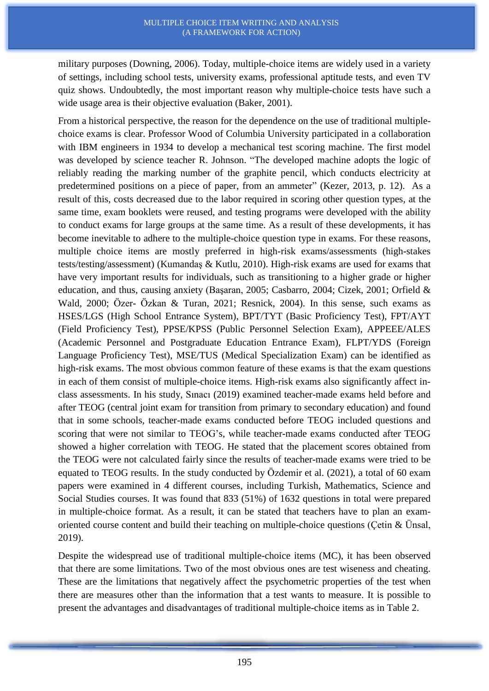military purposes (Downing, 2006). Today, multiple-choice items are widely used in a variety of settings, including school tests, university exams, professional aptitude tests, and even TV quiz shows. Undoubtedly, the most important reason why multiple-choice tests have such a wide usage area is their objective evaluation (Baker, 2001).

From a historical perspective, the reason for the dependence on the use of traditional multiplechoice exams is clear. Professor Wood of Columbia University participated in a collaboration with IBM engineers in 1934 to develop a mechanical test scoring machine. The first model was developed by science teacher R. Johnson. "The developed machine adopts the logic of reliably reading the marking number of the graphite pencil, which conducts electricity at predetermined positions on a piece of paper, from an ammeter" (Kezer, 2013, p. 12). As a result of this, costs decreased due to the labor required in scoring other question types, at the same time, exam booklets were reused, and testing programs were developed with the ability to conduct exams for large groups at the same time. As a result of these developments, it has become inevitable to adhere to the multiple-choice question type in exams. For these reasons, multiple choice items are mostly preferred in high-risk exams/assessments (high-stakes tests/testing/assessment) (Kumandaş & Kutlu, 2010). High-risk exams are used for exams that have very important results for individuals, such as transitioning to a higher grade or higher education, and thus, causing anxiety (Başaran, 2005; Casbarro, 2004; Cizek, 2001; Orfield & Wald, 2000; Özer- Özkan & Turan, 2021; Resnick, 2004). In this sense, such exams as HSES/LGS (High School Entrance System), BPT/TYT (Basic Proficiency Test), FPT/AYT (Field Proficiency Test), PPSE/KPSS (Public Personnel Selection Exam), APPEEE/ALES (Academic Personnel and Postgraduate Education Entrance Exam), FLPT/YDS (Foreign Language Proficiency Test), MSE/TUS (Medical Specialization Exam) can be identified as high-risk exams. The most obvious common feature of these exams is that the exam questions in each of them consist of multiple-choice items. High-risk exams also significantly affect inclass assessments. In his study, Sınacı (2019) examined teacher-made exams held before and after TEOG (central joint exam for transition from primary to secondary education) and found that in some schools, teacher-made exams conducted before TEOG included questions and scoring that were not similar to TEOG's, while teacher-made exams conducted after TEOG showed a higher correlation with TEOG. He stated that the placement scores obtained from the TEOG were not calculated fairly since the results of teacher-made exams were tried to be equated to TEOG results. In the study conducted by Özdemir et al. (2021), a total of 60 exam papers were examined in 4 different courses, including Turkish, Mathematics, Science and Social Studies courses. It was found that 833 (51%) of 1632 questions in total were prepared in multiple-choice format. As a result, it can be stated that teachers have to plan an examoriented course content and build their teaching on multiple-choice questions (Çetin & Ünsal, 2019).

Despite the widespread use of traditional multiple-choice items (MC), it has been observed that there are some limitations. Two of the most obvious ones are test wiseness and cheating. These are the limitations that negatively affect the psychometric properties of the test when there are measures other than the information that a test wants to measure. It is possible to present the advantages and disadvantages of traditional multiple-choice items as in Table 2.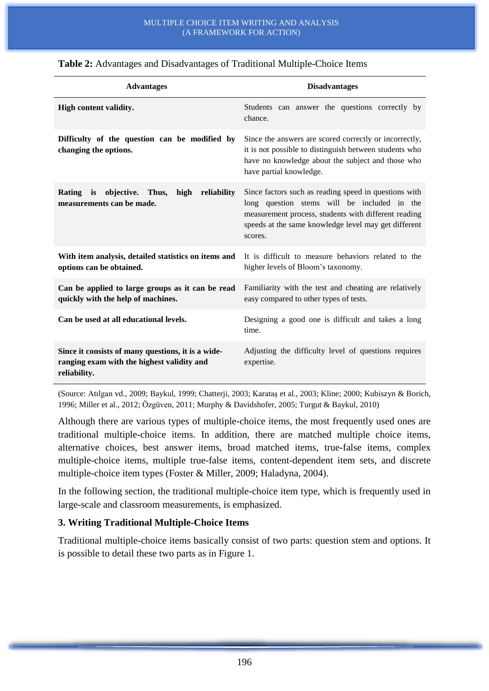| <b>Advantages</b>                                                                                                | <b>Disadvantages</b>                                                                                                                                                                                                            |  |
|------------------------------------------------------------------------------------------------------------------|---------------------------------------------------------------------------------------------------------------------------------------------------------------------------------------------------------------------------------|--|
| High content validity.                                                                                           | Students can answer the questions correctly by<br>chance.                                                                                                                                                                       |  |
| Difficulty of the question can be modified by<br>changing the options.                                           | Since the answers are scored correctly or incorrectly,<br>it is not possible to distinguish between students who<br>have no knowledge about the subject and those who<br>have partial knowledge.                                |  |
| Rating is objective.<br>Thus,<br>high<br>reliability<br>measurements can be made.                                | Since factors such as reading speed in questions with<br>long question stems will be included in the<br>measurement process, students with different reading<br>speeds at the same knowledge level may get different<br>scores. |  |
| With item analysis, detailed statistics on items and<br>options can be obtained.                                 | It is difficult to measure behaviors related to the<br>higher levels of Bloom's taxonomy.                                                                                                                                       |  |
| Can be applied to large groups as it can be read<br>quickly with the help of machines.                           | Familiarity with the test and cheating are relatively<br>easy compared to other types of tests.                                                                                                                                 |  |
| Can be used at all educational levels.                                                                           | Designing a good one is difficult and takes a long<br>time.                                                                                                                                                                     |  |
| Since it consists of many questions, it is a wide-<br>ranging exam with the highest validity and<br>reliability. | Adjusting the difficulty level of questions requires<br>expertise.                                                                                                                                                              |  |

### **Table 2:** Advantages and Disadvantages of Traditional Multiple-Choice Items

(Source: Atılgan vd., 2009; Baykul, 1999; Chatterji, 2003; Karataş et al., 2003; Kline; 2000; Kubiszyn & Borich, 1996; Miller et al., 2012; Özgüven, 2011; Murphy & Davidshofer, 2005; Turgut & Baykul, 2010)

Although there are various types of multiple-choice items, the most frequently used ones are traditional multiple-choice items. In addition, there are matched multiple choice items, alternative choices, best answer items, broad matched items, true-false items, complex multiple-choice items, multiple true-false items, content-dependent item sets, and discrete multiple-choice item types (Foster & Miller, 2009; Haladyna, 2004).

In the following section, the traditional multiple-choice item type, which is frequently used in large-scale and classroom measurements, is emphasized.

### **3. Writing Traditional Multiple-Choice Items**

Traditional multiple-choice items basically consist of two parts: question stem and options. It is possible to detail these two parts as in Figure 1.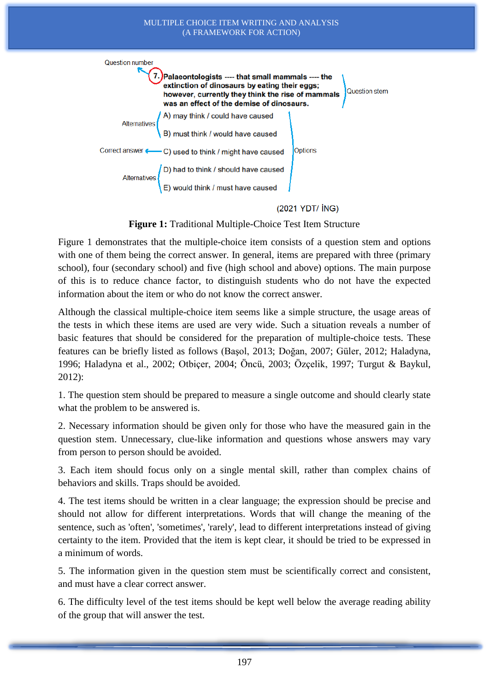#### MULTIPLE CHOICE ITEM WRITING AND ANALYSIS (A FRAMEWORK FOR ACTION)



### (2021 YDT/ İNG)

**Figure 1:** Traditional Multiple-Choice Test Item Structure

Figure 1 demonstrates that the multiple-choice item consists of a question stem and options with one of them being the correct answer. In general, items are prepared with three (primary school), four (secondary school) and five (high school and above) options. The main purpose of this is to reduce chance factor, to distinguish students who do not have the expected information about the item or who do not know the correct answer.

Although the classical multiple-choice item seems like a simple structure, the usage areas of the tests in which these items are used are very wide. Such a situation reveals a number of basic features that should be considered for the preparation of multiple-choice tests. These features can be briefly listed as follows (Başol, 2013; Doğan, 2007; Güler, 2012; Haladyna, 1996; Haladyna et al., 2002; Otbiçer, 2004; Öncü, 2003; Özçelik, 1997; Turgut & Baykul, 2012):

1. The question stem should be prepared to measure a single outcome and should clearly state what the problem to be answered is.

2. Necessary information should be given only for those who have the measured gain in the question stem. Unnecessary, clue-like information and questions whose answers may vary from person to person should be avoided.

3. Each item should focus only on a single mental skill, rather than complex chains of behaviors and skills. Traps should be avoided.

4. The test items should be written in a clear language; the expression should be precise and should not allow for different interpretations. Words that will change the meaning of the sentence, such as 'often', 'sometimes', 'rarely', lead to different interpretations instead of giving certainty to the item. Provided that the item is kept clear, it should be tried to be expressed in a minimum of words.

5. The information given in the question stem must be scientifically correct and consistent, and must have a clear correct answer.

6. The difficulty level of the test items should be kept well below the average reading ability of the group that will answer the test.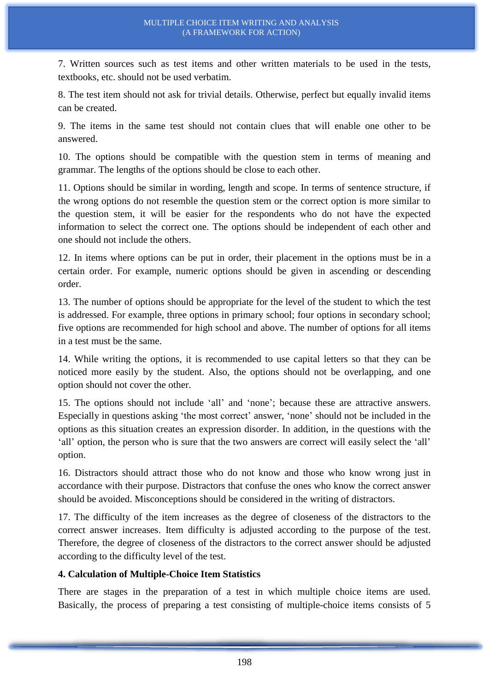7. Written sources such as test items and other written materials to be used in the tests, textbooks, etc. should not be used verbatim.

8. The test item should not ask for trivial details. Otherwise, perfect but equally invalid items can be created.

9. The items in the same test should not contain clues that will enable one other to be answered.

10. The options should be compatible with the question stem in terms of meaning and grammar. The lengths of the options should be close to each other.

11. Options should be similar in wording, length and scope. In terms of sentence structure, if the wrong options do not resemble the question stem or the correct option is more similar to the question stem, it will be easier for the respondents who do not have the expected information to select the correct one. The options should be independent of each other and one should not include the others.

12. In items where options can be put in order, their placement in the options must be in a certain order. For example, numeric options should be given in ascending or descending order.

13. The number of options should be appropriate for the level of the student to which the test is addressed. For example, three options in primary school; four options in secondary school; five options are recommended for high school and above. The number of options for all items in a test must be the same.

14. While writing the options, it is recommended to use capital letters so that they can be noticed more easily by the student. Also, the options should not be overlapping, and one option should not cover the other.

15. The options should not include 'all' and 'none'; because these are attractive answers. Especially in questions asking 'the most correct' answer, 'none' should not be included in the options as this situation creates an expression disorder. In addition, in the questions with the 'all' option, the person who is sure that the two answers are correct will easily select the 'all' option.

16. Distractors should attract those who do not know and those who know wrong just in accordance with their purpose. Distractors that confuse the ones who know the correct answer should be avoided. Misconceptions should be considered in the writing of distractors.

17. The difficulty of the item increases as the degree of closeness of the distractors to the correct answer increases. Item difficulty is adjusted according to the purpose of the test. Therefore, the degree of closeness of the distractors to the correct answer should be adjusted according to the difficulty level of the test.

## **4. Calculation of Multiple-Choice Item Statistics**

There are stages in the preparation of a test in which multiple choice items are used. Basically, the process of preparing a test consisting of multiple-choice items consists of 5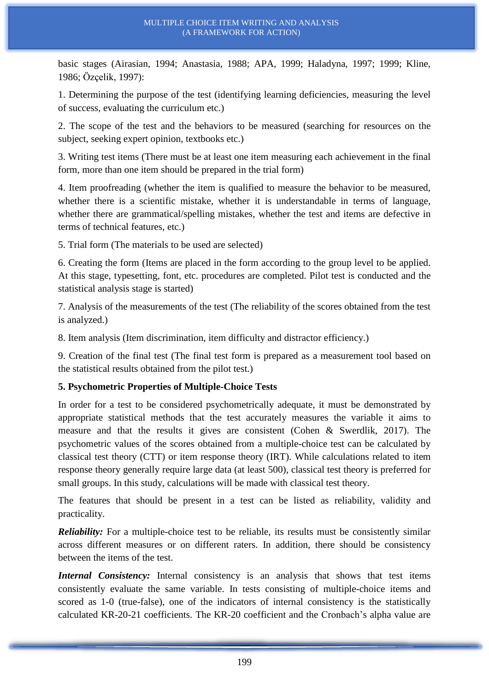basic stages (Airasian, 1994; Anastasia, 1988; APA, 1999; Haladyna, 1997; 1999; Kline, 1986; Özçelik, 1997):

1. Determining the purpose of the test (identifying learning deficiencies, measuring the level of success, evaluating the curriculum etc.)

2. The scope of the test and the behaviors to be measured (searching for resources on the subject, seeking expert opinion, textbooks etc.)

3. Writing test items (There must be at least one item measuring each achievement in the final form, more than one item should be prepared in the trial form)

4. Item proofreading (whether the item is qualified to measure the behavior to be measured, whether there is a scientific mistake, whether it is understandable in terms of language, whether there are grammatical/spelling mistakes, whether the test and items are defective in terms of technical features, etc.)

5. Trial form (The materials to be used are selected)

6. Creating the form (Items are placed in the form according to the group level to be applied. At this stage, typesetting, font, etc. procedures are completed. Pilot test is conducted and the statistical analysis stage is started)

7. Analysis of the measurements of the test (The reliability of the scores obtained from the test is analyzed.)

8. Item analysis (Item discrimination, item difficulty and distractor efficiency.)

9. Creation of the final test (The final test form is prepared as a measurement tool based on the statistical results obtained from the pilot test.)

## **5. Psychometric Properties of Multiple-Choice Tests**

In order for a test to be considered psychometrically adequate, it must be demonstrated by appropriate statistical methods that the test accurately measures the variable it aims to measure and that the results it gives are consistent (Cohen & Swerdlik, 2017). The psychometric values of the scores obtained from a multiple-choice test can be calculated by classical test theory (CTT) or item response theory (IRT). While calculations related to item response theory generally require large data (at least 500), classical test theory is preferred for small groups. In this study, calculations will be made with classical test theory.

The features that should be present in a test can be listed as reliability, validity and practicality.

*Reliability:* For a multiple-choice test to be reliable, its results must be consistently similar across different measures or on different raters. In addition, there should be consistency between the items of the test.

*Internal Consistency:* Internal consistency is an analysis that shows that test items consistently evaluate the same variable. In tests consisting of multiple-choice items and scored as 1-0 (true-false), one of the indicators of internal consistency is the statistically calculated KR-20-21 coefficients. The KR-20 coefficient and the Cronbach's alpha value are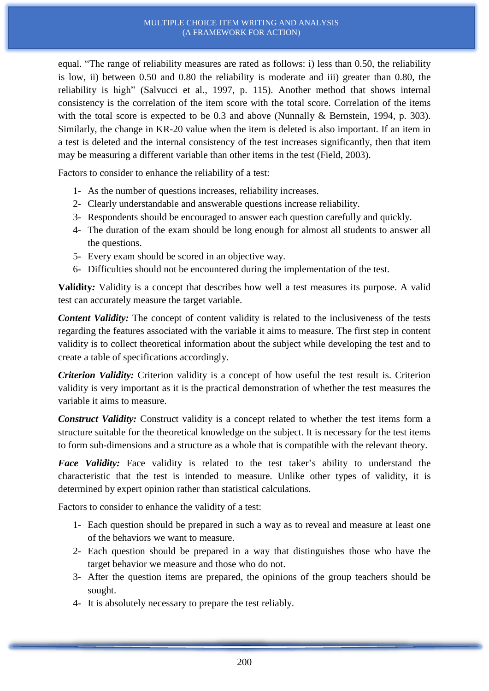equal. "The range of reliability measures are rated as follows: i) less than 0.50, the reliability is low, ii) between 0.50 and 0.80 the reliability is moderate and iii) greater than 0.80, the reliability is high" (Salvucci et al., 1997, p. 115). Another method that shows internal consistency is the correlation of the item score with the total score. Correlation of the items with the total score is expected to be 0.3 and above (Nunnally & Bernstein, 1994, p. 303). Similarly, the change in KR-20 value when the item is deleted is also important. If an item in a test is deleted and the internal consistency of the test increases significantly, then that item may be measuring a different variable than other items in the test (Field, 2003).

Factors to consider to enhance the reliability of a test:

- 1- As the number of questions increases, reliability increases.
- 2- Clearly understandable and answerable questions increase reliability.
- 3- Respondents should be encouraged to answer each question carefully and quickly.
- 4- The duration of the exam should be long enough for almost all students to answer all the questions.
- 5- Every exam should be scored in an objective way.
- 6- Difficulties should not be encountered during the implementation of the test.

**Validity***:* Validity is a concept that describes how well a test measures its purpose. A valid test can accurately measure the target variable.

*Content Validity:* The concept of content validity is related to the inclusiveness of the tests regarding the features associated with the variable it aims to measure. The first step in content validity is to collect theoretical information about the subject while developing the test and to create a table of specifications accordingly.

*Criterion Validity:* Criterion validity is a concept of how useful the test result is. Criterion validity is very important as it is the practical demonstration of whether the test measures the variable it aims to measure.

*Construct Validity:* Construct validity is a concept related to whether the test items form a structure suitable for the theoretical knowledge on the subject. It is necessary for the test items to form sub-dimensions and a structure as a whole that is compatible with the relevant theory.

*Face Validity:* Face validity is related to the test taker's ability to understand the characteristic that the test is intended to measure. Unlike other types of validity, it is determined by expert opinion rather than statistical calculations.

Factors to consider to enhance the validity of a test:

- 1- Each question should be prepared in such a way as to reveal and measure at least one of the behaviors we want to measure.
- 2- Each question should be prepared in a way that distinguishes those who have the target behavior we measure and those who do not.
- 3- After the question items are prepared, the opinions of the group teachers should be sought.
- 4- It is absolutely necessary to prepare the test reliably.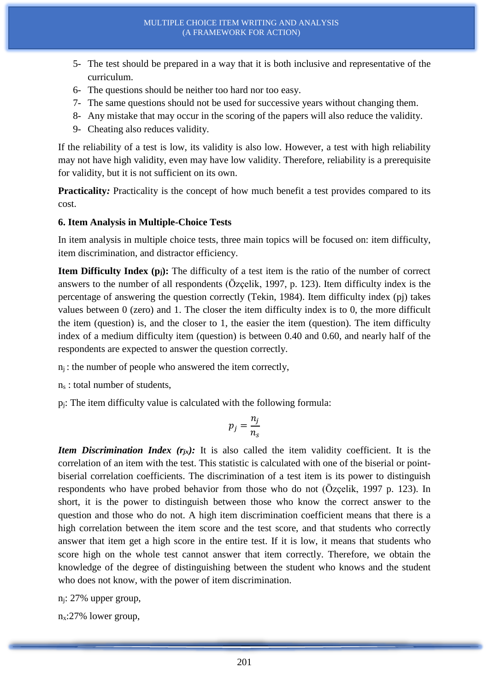- 5- The test should be prepared in a way that it is both inclusive and representative of the curriculum.
- 6- The questions should be neither too hard nor too easy.
- 7- The same questions should not be used for successive years without changing them.
- 8- Any mistake that may occur in the scoring of the papers will also reduce the validity.
- 9- Cheating also reduces validity.

If the reliability of a test is low, its validity is also low. However, a test with high reliability may not have high validity, even may have low validity. Therefore, reliability is a prerequisite for validity, but it is not sufficient on its own.

**Practicality**: Practicality is the concept of how much benefit a test provides compared to its cost.

### **6. Item Analysis in Multiple-Choice Tests**

In item analysis in multiple choice tests, three main topics will be focused on: item difficulty, item discrimination, and distractor efficiency.

**Item Difficulty Index (pj):** The difficulty of a test item is the ratio of the number of correct answers to the number of all respondents (Özçelik, 1997, p. 123). Item difficulty index is the percentage of answering the question correctly (Tekin, 1984). Item difficulty index (pj) takes values between 0 (zero) and 1. The closer the item difficulty index is to 0, the more difficult the item (question) is, and the closer to 1, the easier the item (question). The item difficulty index of a medium difficulty item (question) is between 0.40 and 0.60, and nearly half of the respondents are expected to answer the question correctly.

- $n_i$ : the number of people who answered the item correctly,
- n<sup>s</sup> : total number of students,
- $p_i$ : The item difficulty value is calculated with the following formula:

$$
p_j = \frac{n_j}{n_s}
$$

*Item Discrimination Index (rjx):* It is also called the item validity coefficient. It is the correlation of an item with the test. This statistic is calculated with one of the biserial or pointbiserial correlation coefficients. The discrimination of a test item is its power to distinguish respondents who have probed behavior from those who do not (Özçelik, 1997 p. 123). In short, it is the power to distinguish between those who know the correct answer to the question and those who do not. A high item discrimination coefficient means that there is a high correlation between the item score and the test score, and that students who correctly answer that item get a high score in the entire test. If it is low, it means that students who score high on the whole test cannot answer that item correctly. Therefore, we obtain the knowledge of the degree of distinguishing between the student who knows and the student who does not know, with the power of item discrimination.

nj: 27% upper group,

nx:27% lower group,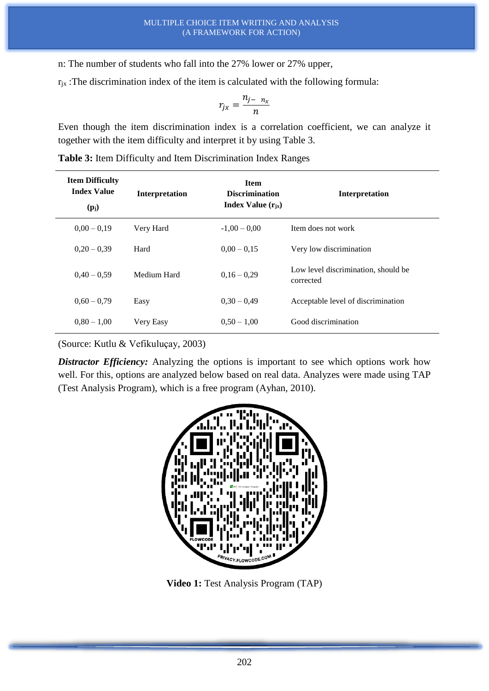n: The number of students who fall into the 27% lower or 27% upper,

 $r_{ix}$ : The discrimination index of the item is calculated with the following formula:

$$
r_{jx}=\frac{n_{j-1}}{n}
$$

Even though the item discrimination index is a correlation coefficient, we can analyze it together with the item difficulty and interpret it by using Table 3.

| <b>Item Difficulty</b><br><b>Index Value</b><br>$(p_i)$ | Interpretation | <b>Item</b><br><b>Discrimination</b><br>Index Value $(r_{ix})$ | Interpretation                                   |
|---------------------------------------------------------|----------------|----------------------------------------------------------------|--------------------------------------------------|
| $0,00 - 0,19$                                           | Very Hard      | $-1.00 - 0.00$                                                 | Item does not work                               |
| $0.20 - 0.39$                                           | Hard           | $0.00 - 0.15$                                                  | Very low discrimination                          |
| $0.40 - 0.59$                                           | Medium Hard    | $0.16 - 0.29$                                                  | Low level discrimination, should be<br>corrected |
| $0.60 - 0.79$                                           | Easy           | $0.30 - 0.49$                                                  | Acceptable level of discrimination               |
| $0.80 - 1.00$                                           | Very Easy      | $0.50 - 1.00$                                                  | Good discrimination                              |

**Table 3:** Item Difficulty and Item Discrimination Index Ranges

(Source: Kutlu & Vefikuluçay, 2003)

**Distractor Efficiency:** Analyzing the options is important to see which options work how well. For this, options are analyzed below based on real data. Analyzes were made using TAP (Test Analysis Program), which is a free program (Ayhan, 2010).



**Video 1:** Test Analysis Program (TAP)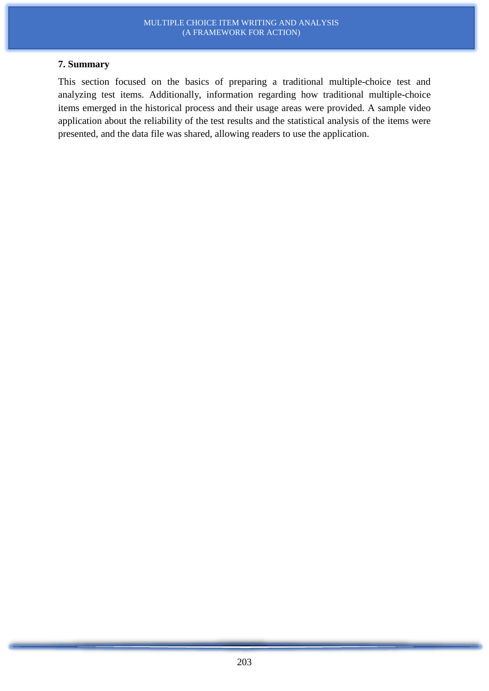# **7. Summary**

This section focused on the basics of preparing a traditional multiple-choice test and analyzing test items. Additionally, information regarding how traditional multiple-choice items emerged in the historical process and their usage areas were provided. A sample video application about the reliability of the test results and the statistical analysis of the items were presented, and the data file was shared, allowing readers to use the application.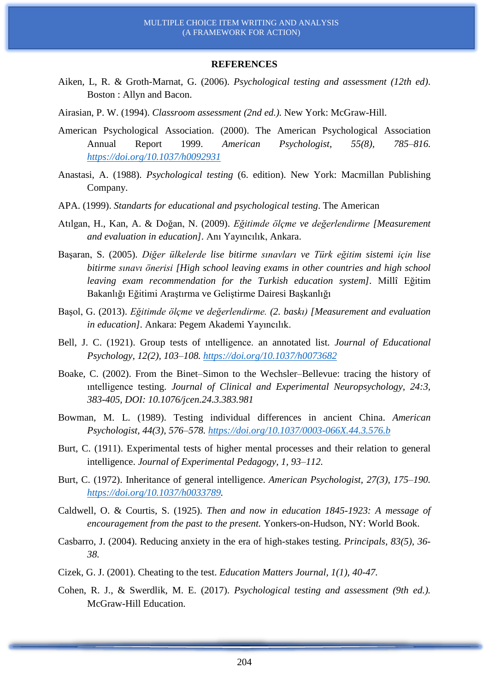#### **REFERENCES**

- Aiken, L, R. & Groth-Marnat, G. (2006). *Psychological testing and assessment (12th ed)*. Boston : Allyn and Bacon.
- Airasian, P. W. (1994). *Classroom assessment (2nd ed.).* New York: McGraw-Hill.
- American Psychological Association. (2000). The American Psychological Association Annual Report 1999. *American Psychologist, 55(8), 785–816. [https://doi.org/10.1037/h0092931](https://psycnet.apa.org/doi/10.1037/h0092931)*
- Anastasi, A. (1988). *Psychological testing* (6. edition). New York: Macmillan Publishing Company.
- APA. (1999). *Standarts for educational and psychological testing*. The American
- Atılgan, H., Kan, A. & Doğan, N. (2009). *Eğitimde ölçme ve değerlendirme [Measurement and evaluation in education].* Anı Yayıncılık, Ankara.
- Başaran, S. (2005). *Diğer ülkelerde lise bitirme sınavları ve Türk eğitim sistemi için lise bitirme sınavı önerisi [High school leaving exams in other countries and high school leaving exam recommendation for the Turkish education system].* Millî Eğitim Bakanlığı Eğitimi Araştırma ve Geliştirme Dairesi Başkanlığı
- Başol, G. (2013). *Eğitimde ölçme ve değerlendirme. (2. baskı) [Measurement and evaluation in education].* Ankara: Pegem Akademi Yayıncılık.
- Bell, J. C. (1921). Group tests of ıntelligence. an annotated list. *Journal of Educational Psychology, 12(2), 103–108. <https://doi.org/10.1037/h0073682>*
- Boake, C. (2002). From the Binet–Simon to the Wechsler–Bellevue: tracing the history of ıntelligence testing. *Journal of Clinical and Experimental Neuropsychology, 24:3, 383-405, DOI: 10.1076/jcen.24.3.383.981*
- Bowman, M. L. (1989). Testing individual differences in ancient China. *American Psychologist, 44(3), 576–578. <https://doi.org/10.1037/0003-066X.44.3.576.b>*
- Burt, C. (1911). Experimental tests of higher mental processes and their relation to general intelligence. *Journal of Experimental Pedagogy, 1, 93–112.*
- Burt, C. (1972). Inheritance of general intelligence. *American Psychologist, 27(3), 175–190. [https://doi.org/10.1037/h0033789.](https://doi.org/10.1037/h0033789)*
- Caldwell, O. & Courtis, S. (1925). *Then and now in education 1845-1923: A message of encouragement from the past to the present.* Yonkers-on-Hudson, NY: World Book.
- Casbarro, J. (2004). Reducing anxiety in the era of high-stakes testing. *Principals, 83(5), 36- 38.*
- Cizek, G. J. (2001). Cheating to the test. *Education Matters Journal, 1(1), 40-47.*
- Cohen, R. J., & Swerdlik, M. E. (2017). *Psychological testing and assessment (9th ed.).* McGraw-Hill Education.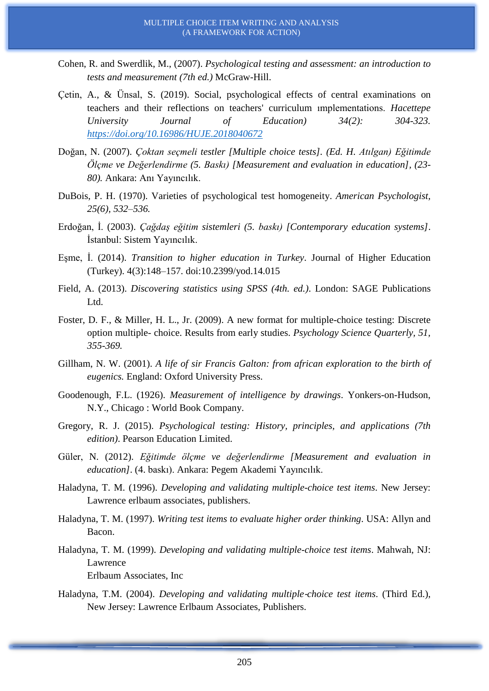- Cohen, R. and Swerdlik, M., (2007). *Psychological testing and assessment: an introduction to tests and measurement (7th ed.)* McGraw-Hill.
- Çetin, A., & Ünsal, S. (2019). Social, psychological effects of central examinations on teachers and their reflections on teachers' curriculum ımplementations. *Hacettepe University Journal of Education) 34(2): 304-323. <https://doi.org/10.16986/HUJE.2018040672>*
- Doğan, N. (2007). *Çoktan seçmeli testler [Multiple choice tests]. (Ed. H. Atılgan) Eğitimde Ölçme ve Değerlendirme (5. Baskı) [Measurement and evaluation in education], (23- 80).* Ankara: Anı Yayıncılık.
- DuBois, P. H. (1970). Varieties of psychological test homogeneity. *American Psychologist, 25(6), 532–536.*
- Erdoğan, İ. (2003). *Çağdaş eğitim sistemleri (5. baskı) [Contemporary education systems]*. İstanbul: Sistem Yayıncılık.
- Eşme, İ. (2014). *Transition to higher education in Turkey*. Journal of Higher Education (Turkey). 4(3):148–157. doi:10.2399/yod.14.015
- Field, A. (2013). *Discovering statistics using SPSS (4th. ed.)*. London: SAGE Publications Ltd.
- Foster, D. F., & Miller, H. L., Jr. (2009). A new format for multiple-choice testing: Discrete option multiple- choice. Results from early studies. *Psychology Science Quarterly, 51, 355-369.*
- Gillham, N. W. (2001). *A life of sir Francis Galton: from african exploration to the birth of eugenics.* England: Oxford University Press.
- Goodenough, F.L. (1926). *Measurement of intelligence by drawings*. Yonkers-on-Hudson, N.Y., Chicago : World Book Company.
- Gregory, R. J. (2015). *Psychological testing: History, principles, and applications (7th edition)*. Pearson Education Limited.
- Güler, N. (2012). *Eğitimde ölçme ve değerlendirme [Measurement and evaluation in education]*. (4. baskı). Ankara: Pegem Akademi Yayıncılık.
- Haladyna, T. M. (1996). *Developing and validating multiple-choice test items*. New Jersey: Lawrence erlbaum associates, publishers.
- Haladyna, T. M. (1997). *Writing test items to evaluate higher order thinking*. USA: Allyn and Bacon.
- Haladyna, T. M. (1999). *Developing and validating multiple-choice test items*. Mahwah, NJ: Lawrence Erlbaum Associates, Inc
- Haladyna, T.M. (2004). *Developing and validating multiple*‐*choice test items*. (Third Ed.), New Jersey: Lawrence Erlbaum Associates, Publishers.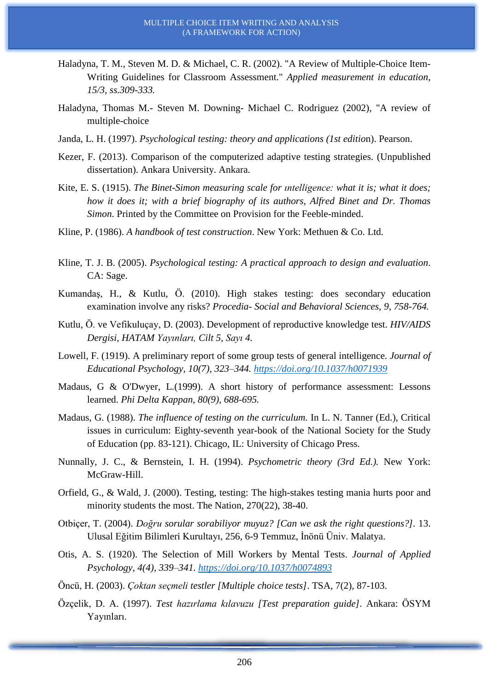- Haladyna, T. M., Steven M. D. & Michael, C. R. (2002). "A Review of Multiple-Choice Item-Writing Guidelines for Classroom Assessment." *Applied measurement in education, 15/3, ss.309-333.*
- Haladyna, Thomas M.- Steven M. Downing- Michael C. Rodriguez (2002), "A review of multiple-choice
- Janda, L. H. (1997). *Psychological testing: theory and applications (1st editio*n). Pearson.
- Kezer, F. (2013). Comparison of the computerized adaptive testing strategies. (Unpublished dissertation). Ankara University. Ankara.
- Kite, E. S. (1915). *The Binet-Simon measuring scale for ıntelligence: what it is; what it does; how it does it; with a brief biography of its authors, Alfred Binet and Dr. Thomas Simon*. Printed by the Committee on Provision for the Feeble-minded.
- Kline, P. (1986). *A handbook of test construction*. New York: Methuen & Co. Ltd.
- Kline, T. J. B. (2005). *Psychological testing: A practical approach to design and evaluation*. CA: Sage.
- Kumandaş, H., & Kutlu, Ö. (2010). High stakes testing: does secondary education examination involve any risks? *Procedia- Social and Behavioral Sciences, 9, 758-764.*
- Kutlu, Ö. ve Vefikuluçay, D. (2003). Development of reproductive knowledge test. *HIV/AIDS Dergisi, HATAM Yayınları, Cilt 5, Sayı 4.*
- Lowell, F. (1919). A preliminary report of some group tests of general intelligence. *Journal of Educational Psychology, 10(7), 323–344. <https://doi.org/10.1037/h0071939>*
- Madaus, G & O'Dwyer, L.(1999). A short history of performance assessment: Lessons learned. *Phi Delta Kappan, 80(9), 688-695.*
- Madaus, G. (1988). *The influence of testing on the curriculum.* In L. N. Tanner (Ed.), Critical issues in curriculum: Eighty-seventh year-book of the National Society for the Study of Education (pp. 83-121). Chicago, IL: University of Chicago Press.
- Nunnally, J. C., & Bernstein, I. H. (1994). *Psychometric theory (3rd Ed.).* New York: McGraw-Hill.
- Orfield, G., & Wald, J. (2000). Testing, testing: The high-stakes testing mania hurts poor and minority students the most. The Nation, 270(22), 38-40.
- Otbiçer, T. (2004). *Doğru sorular sorabiliyor muyuz? [Can we ask the right questions?].* 13. Ulusal Eğitim Bilimleri Kurultayı, 256, 6-9 Temmuz, İnönü Üniv. Malatya.
- Otis, A. S. (1920). The Selection of Mill Workers by Mental Tests. *Journal of Applied Psychology, 4(4), 339–341. <https://doi.org/10.1037/h0074893>*
- Öncü, H. (2003). *Çoktan seçmeli testler [Multiple choice tests]*. TSA, 7(2), 87-103.
- Özçelik, D. A. (1997). *Test hazırlama kılavuzu [Test preparation guide]*. Ankara: ÖSYM Yayınları.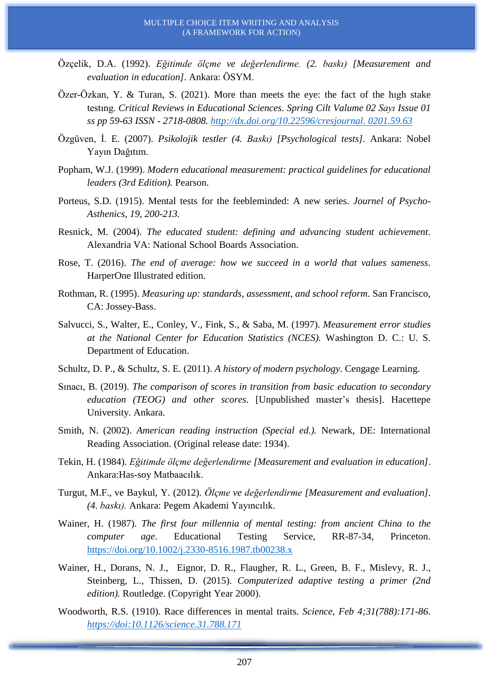- Özçelik, D.A. (1992). *Eğitimde ölçme ve değerlendirme. (2. baskı) [Measurement and evaluation in education].* Ankara: ÖSYM.
- Özer-Özkan, Y. & Turan, S. (2021). More than meets the eye: the fact of the high stake testıng. *Critical Reviews in Educational Sciences. Spring Cilt Valume 02 Sayı Issue 01 ss pp 59-63 ISSN - 2718-0808. [http://dx.doi.org/10.22596/cresjournal.](http://dx.doi.org/10.22596/cresjournal.%200201.59.63) 0201.59.63*
- Özgüven, İ. E. (2007). *Psikolojik testler (4. Baskı) [Psychological tests].* Ankara: Nobel Yayın Dağıtım.
- Popham, W.J. (1999). *Modern educational measurement: practical guidelines for educational leaders (3rd Edition).* Pearson.
- Porteus, S.D. (1915). Mental tests for the feebleminded: A new series. *Journel of Psycho-Asthenics, 19, 200-213.*
- Resnick, M. (2004). *The educated student: defining and advancing student achievement*. Alexandria VA: National School Boards Association.
- Rose, T. (2016). *The end of average: how we succeed in a world that values sameness*. HarperOne Illustrated edition.
- Rothman, R. (1995). *Measuring up: standards, assessment, and school reform*. San Francisco, CA: Jossey-Bass.
- Salvucci, S., Walter, E., Conley, V., Fink, S., & Saba, M. (1997). *Measurement error studies at the National Center for Education Statistics (NCES).* Washington D. C.: U. S. Department of Education.
- Schultz, D. P., & Schultz, S. E. (2011). *A history of modern psychology*. Cengage Learning.
- Sınacı, B. (2019). *The comparison of scores in transition from basic education to secondary education (TEOG) and other scores*. [Unpublished master's thesis]. Hacettepe University. Ankara.
- Smith, N. (2002). *American reading instruction (Special ed.).* Newark, DE: International Reading Association. (Original release date: 1934).
- Tekin, H. (1984). *Eğitimde ölçme değerlendirme [Measurement and evaluation in education]*. Ankara:Has-soy Matbaacılık.
- Turgut, M.F., ve Baykul, Y. (2012). *Ölçme ve değerlendirme [Measurement and evaluation]. (4. baskı).* Ankara: Pegem Akademi Yayıncılık.
- Wainer, H. (1987). *The first four millennia of mental testing: from ancient China to the computer age*. Educational Testing Service, RR-87-34, Princeton. <https://doi.org/10.1002/j.2330-8516.1987.tb00238.x>
- Wainer, H., Dorans, N. J., Eignor, D. R., Flaugher, R. L., Green, B. F., Mislevy, R. J., Steinberg, L., Thissen, D. (2015). *Computerized adaptive testing a primer (2nd edition).* Routledge. (Copyright Year 2000).
- Woodworth, R.S. (1910). Race differences in mental traits. *Science, Feb 4;31(788):171-86. <https://doi:10.1126/science.31.788.171>*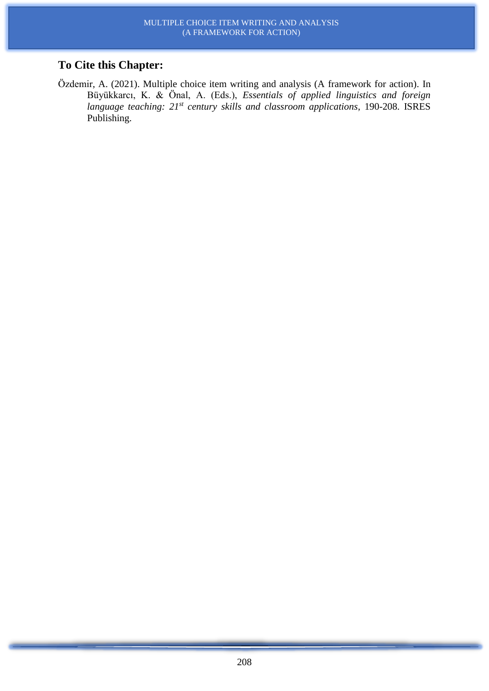# **To Cite this Chapter:**

Özdemir, A. (2021). Multiple choice item writing and analysis (A framework for action). In Büyükkarcı, K. & Önal, A. (Eds.), *Essentials of applied linguistics and foreign language teaching: 21st century skills and classroom applications*, 190-208. ISRES Publishing.